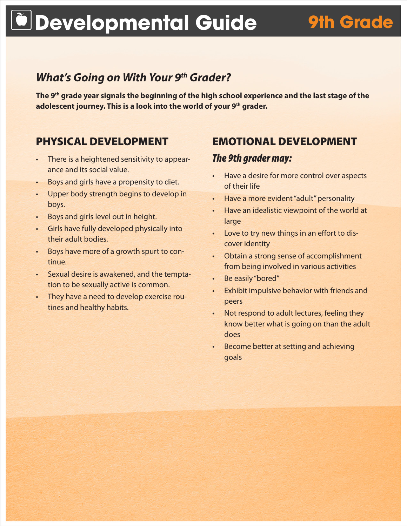# **Developmental Guide 9th Grade**

# *What's Going on With Your 9th Grader?*

**The 9th grade year signals the beginning of the high school experience and the last stage of the adolescent journey. This is a look into the world of your 9th grader.**

# PHYSICAL DEVELOPMENT

- There is a heightened sensitivity to appearance and its social value.
- Boys and girls have a propensity to diet.
- Upper body strength begins to develop in boys.
- Boys and girls level out in height.
- Girls have fully developed physically into their adult bodies.
- • Boys have more of a growth spurt to continue.
- • Sexual desire is awakened, and the temptation to be sexually active is common.
- They have a need to develop exercise routines and healthy habits.

## EMOTIONAL DEVELOPMENT

### *The 9th grader may:*

- • Have a desire for more control over aspects of their life
- Have a more evident "adult" personality
- Have an idealistic viewpoint of the world at large
- Love to try new things in an effort to discover identity
- • Obtain a strong sense of accomplishment from being involved in various activities
- Be easily "bored"
- • Exhibit impulsive behavior with friends and peers
- • Not respond to adult lectures, feeling they know better what is going on than the adult does
- Become better at setting and achieving goals